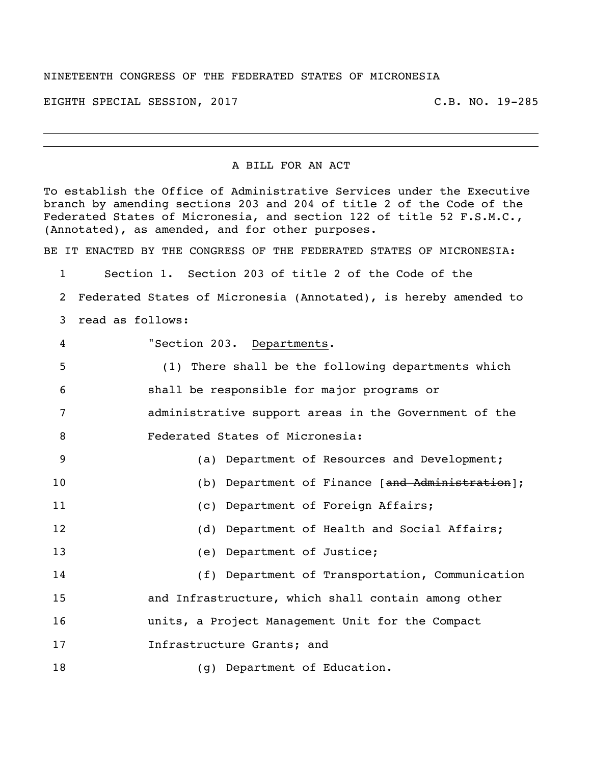## NINETEENTH CONGRESS OF THE FEDERATED STATES OF MICRONESIA

EIGHTH SPECIAL SESSION, 2017 C.B. NO. 19-285

## A BILL FOR AN ACT

To establish the Office of Administrative Services under the Executive branch by amending sections 203 and 204 of title 2 of the Code of the Federated States of Micronesia, and section 122 of title 52 F.S.M.C., (Annotated), as amended, and for other purposes.

BE IT ENACTED BY THE CONGRESS OF THE FEDERATED STATES OF MICRONESIA:

 Section 1. Section 203 of title 2 of the Code of the Federated States of Micronesia (Annotated), is hereby amended to read as follows: "Section 203. Departments. (1) There shall be the following departments which shall be responsible for major programs or administrative support areas in the Government of the

Federated States of Micronesia:

| 9  | (a) Department of Resources and Development;        |
|----|-----------------------------------------------------|
| 10 | (b) Department of Finance [and Administration];     |
| 11 | (c) Department of Foreign Affairs;                  |
| 12 | (d) Department of Health and Social Affairs;        |
| 13 | (e) Department of Justice;                          |
| 14 | (f) Department of Transportation, Communication     |
| 15 | and Infrastructure, which shall contain among other |
| 16 | units, a Project Management Unit for the Compact    |
| 17 | Infrastructure Grants; and                          |
| 18 | Department of Education.<br>g)                      |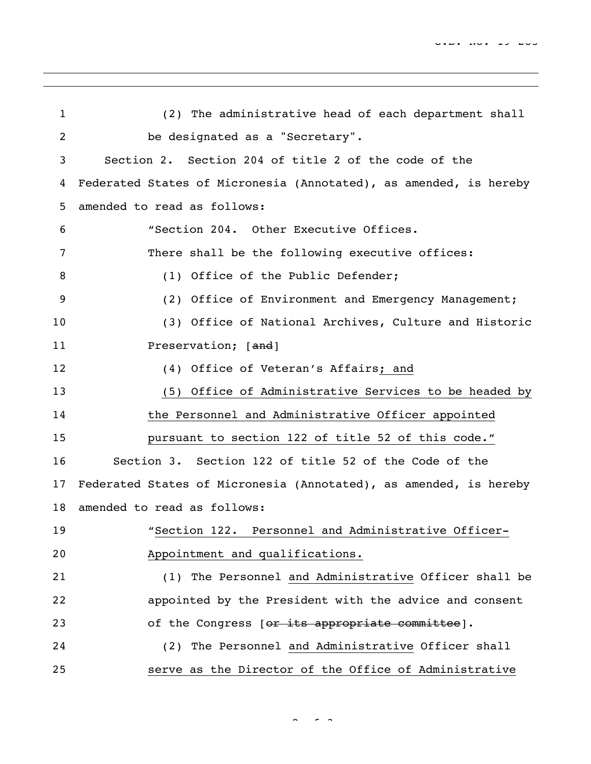| 1  | (2) The administrative head of each department shall              |
|----|-------------------------------------------------------------------|
| 2  | be designated as a "Secretary".                                   |
| 3  | Section 2. Section 204 of title 2 of the code of the              |
| 4  | Federated States of Micronesia (Annotated), as amended, is hereby |
| 5  | amended to read as follows:                                       |
| 6  | "Section 204. Other Executive Offices.                            |
| 7  | There shall be the following executive offices:                   |
| 8  | (1) Office of the Public Defender;                                |
| 9  | (2) Office of Environment and Emergency Management;               |
| 10 | (3) Office of National Archives, Culture and Historic             |
| 11 | Preservation; [and]                                               |
| 12 | (4) Office of Veteran's Affairs; and                              |
| 13 | (5) Office of Administrative Services to be headed by             |
| 14 | the Personnel and Administrative Officer appointed                |
| 15 | pursuant to section 122 of title 52 of this code."                |
| 16 | Section 3. Section 122 of title 52 of the Code of the             |
| 17 | Federated States of Micronesia (Annotated), as amended, is hereby |
| 18 | amended to read as follows:                                       |
| 19 | "Section 122. Personnel and Administrative Officer-               |
| 20 | Appointment and qualifications.                                   |
| 21 | (1) The Personnel and Administrative Officer shall be             |
| 22 | appointed by the President with the advice and consent            |
| 23 | of the Congress [or its appropriate committee].                   |
| 24 | (2) The Personnel and Administrative Officer shall                |
| 25 | serve as the Director of the Office of Administrative             |

 $\sim$   $\sim$  3